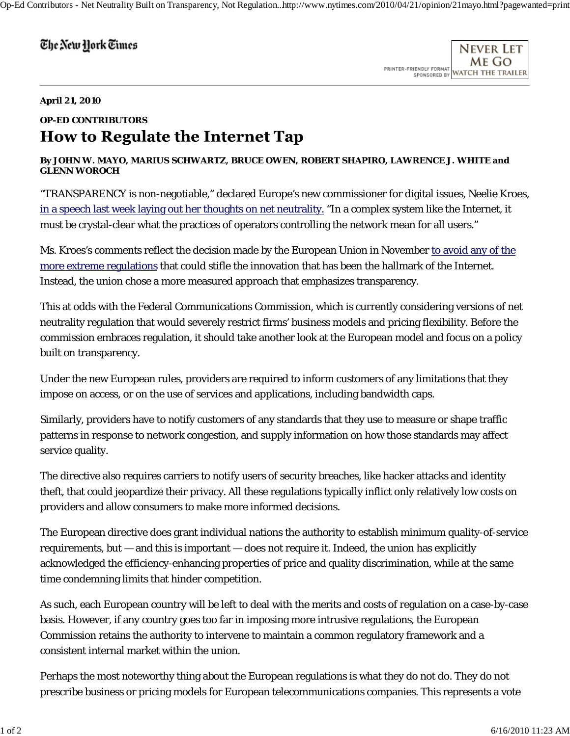## The New York Times

Never Let ME GO PRINTER-FRIENDLY FORMAT SPONSORED BY WATCH THE TRAILER

## **April 21, 2010**

## **OP-ED CONTRIBUTORS How to Regulate the Internet Tap**

## **By JOHN W. MAYO, MARIUS SCHWARTZ, BRUCE OWEN, ROBERT SHAPIRO, LAWRENCE J. WHITE and GLENN WOROCH**

"TRANSPARENCY is non-negotiable," declared Europe's new commissioner for digital issues, Neelie Kroes, in a speech last week laying out her thoughts on net neutrality. "In a complex system like the Internet, it must be crystal-clear what the practices of operators controlling the network mean for all users."

Ms. Kroes's comments reflect the decision made by the European Union in November to avoid any of the more extreme regulations that could stifle the innovation that has been the hallmark of the Internet. Instead, the union chose a more measured approach that emphasizes transparency.

This at odds with the Federal Communications Commission, which is currently considering versions of net neutrality regulation that would severely restrict firms' business models and pricing flexibility. Before the commission embraces regulation, it should take another look at the European model and focus on a policy built on transparency.

Under the new European rules, providers are required to inform customers of any limitations that they impose on access, or on the use of services and applications, including bandwidth caps.

Similarly, providers have to notify customers of any standards that they use to measure or shape traffic patterns in response to network congestion, and supply information on how those standards may affect service quality.

The directive also requires carriers to notify users of security breaches, like hacker attacks and identity theft, that could jeopardize their privacy. All these regulations typically inflict only relatively low costs on providers and allow consumers to make more informed decisions.

The European directive does grant individual nations the authority to establish minimum quality-of-service requirements, but — and this is important — does not require it. Indeed, the union has explicitly acknowledged the efficiency-enhancing properties of price and quality discrimination, while at the same time condemning limits that hinder competition.

As such, each European country will be left to deal with the merits and costs of regulation on a case-by-case basis. However, if any country goes too far in imposing more intrusive regulations, the European Commission retains the authority to intervene to maintain a common regulatory framework and a consistent internal market within the union.

Perhaps the most noteworthy thing about the European regulations is what they do not do. They do not prescribe business or pricing models for European telecommunications companies. This represents a vote